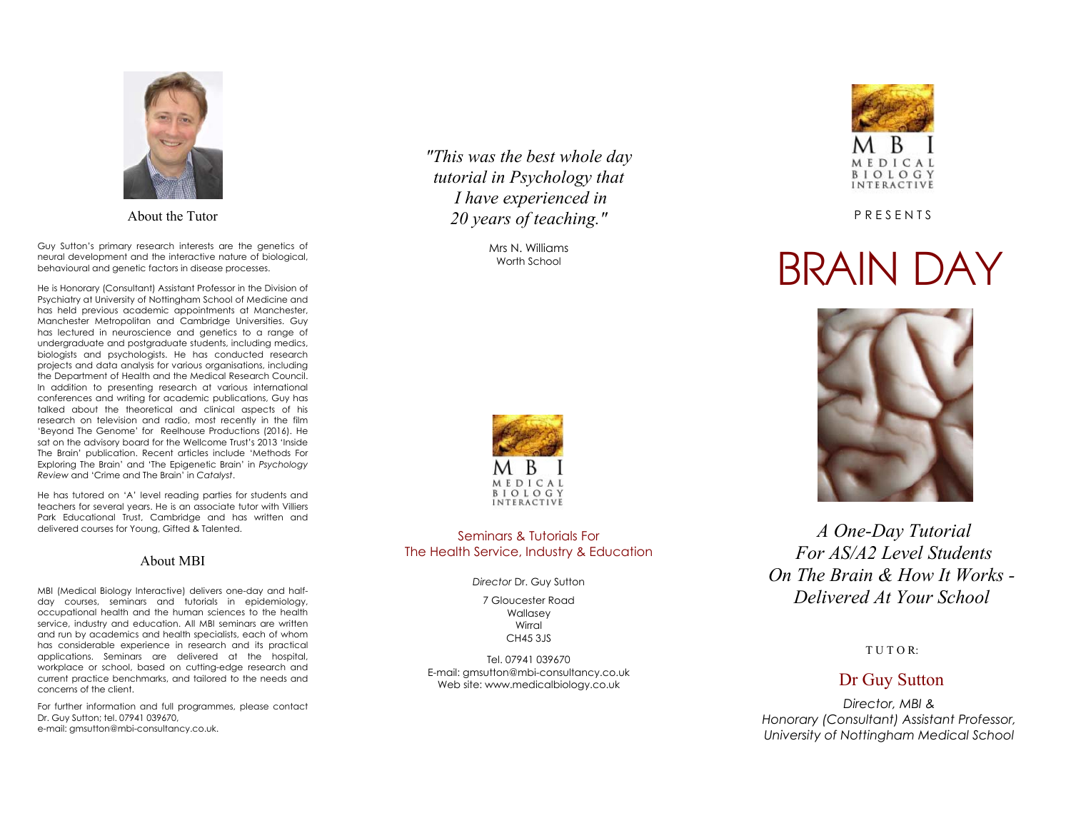

About the Tutor

Guy Sutton's primary research interests are the genetics of neural development and the interactive nature of biological, behavioural and genetic factors in disease processes.

He is Honorary (Consultant) Assistant Professor in the Division of Psychiatry at University of Nottingham School of Medicine and has held previous academic appointments at Manchester, Manchester Metropolitan and Cambridge Universities. Guy has lectured in neuroscience and genetics to a range of undergraduate and postgraduate students, including medics, biologists and psychologists. He has conducted research projects and data analysis for various organisations, including the Department of Health and the Medical Research Council. In addition to presenting research at various international conferences and writing for academic publications, Guy has talked about the theoretical and clinical aspects of his research on television and radio, most recently in the film 'Beyond The Genome' for Reelhouse Productions (2016). He sat on the advisory board for the Wellcome Trust's 2013 'Inside The Brain' publication. Recent articles include 'Methods For Exploring The Brain' and 'The Epigenetic Brain' in *Psychology Review* and 'Crime and The Brain' in *Catalyst*.

He has tutored on 'A' level reading parties for students and teachers for several years. He is an associate tutor with Villiers Park Educational Trust, Cambridge and has written and delivered courses for Young, Gifted & Talented.

#### About MBI

MBI (Medical Biology Interactive) delivers one-day and halfday courses, seminars and tutorials in epidemiology, occupational health and the human sciences to the health service, industry and education. All MBI seminars are written and run by academics and health specialists, each of whom has considerable experience in research and its practical applications. Seminars are delivered at the hospital, workplace or school, based on cutting-edge research and current practice benchmarks, and tailored to the needs and concerns of the client.

For further information and full programmes, please contact Dr. Guy Sutton; tel. 07941 039670, e-mail: gmsutton@mbi-consultancy.co.uk.

*"This was the best whole day tutorial in Psychology that I have experienced in 20 years of teaching."*

> Mrs N. Williams Worth School



#### Seminars & Tutorials For The Health Service, Industry & Education

*Director* Dr. Guy Sutton

7 Gloucester Road Wallasey Wirral CH45 3JS

Tel. 07941 039670 E-mail: gmsutton@mbi-consultancy.co.uk Web site: www.medicalbiology.co.uk



P R E S E N T S

# BRAIN DAY



 *A One-Day Tutorial For AS/A2 Level Students On The Brain & How It Works - Delivered At Your School* 

#### T U T O R:

## Dr Guy Sutton

*Director, MBI & Honorary (Consultant) Assistant Professor, University of Nottingham Medical School*